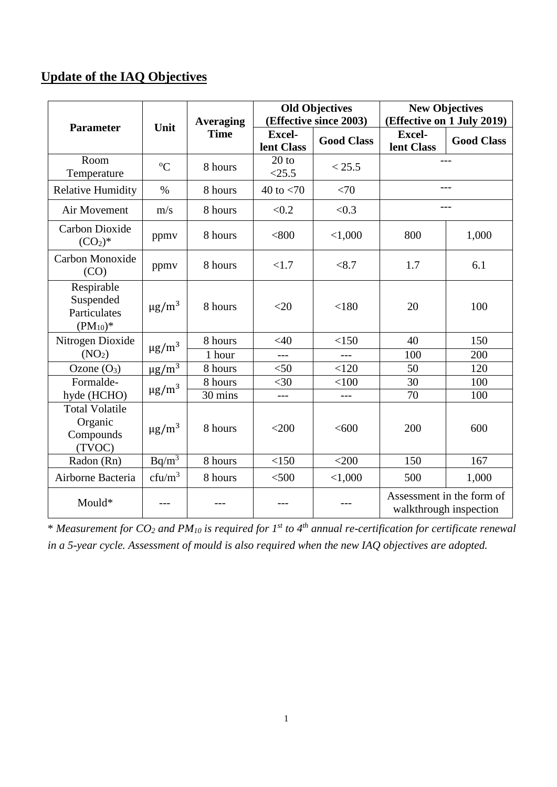## **Update of the IAQ Objectives**

|                                                          | Unit                   | <b>Averaging</b><br><b>Time</b> | <b>Old Objectives</b><br>(Effective since 2003) |                   | <b>New Objectives</b><br>(Effective on 1 July 2019) |                                                     |
|----------------------------------------------------------|------------------------|---------------------------------|-------------------------------------------------|-------------------|-----------------------------------------------------|-----------------------------------------------------|
| <b>Parameter</b>                                         |                        |                                 | <b>Excel-</b><br>lent Class                     | <b>Good Class</b> | <b>Excel-</b><br>lent Class                         | <b>Good Class</b>                                   |
| Room<br>Temperature                                      | ${}^{0}C$              | 8 hours                         | $20$ to<br><25.5                                | < 25.5            |                                                     |                                                     |
| <b>Relative Humidity</b>                                 | $\%$                   | 8 hours                         | 40 to $< 70$                                    | <70               |                                                     | $---$                                               |
| Air Movement                                             | m/s                    | 8 hours                         | < 0.2                                           | < 0.3             |                                                     |                                                     |
| Carbon Dioxide<br>$(CO2)$ *                              | ppmy                   | 8 hours                         | < 800                                           | < 1,000           | 800                                                 | 1,000                                               |
| Carbon Monoxide<br>(CO)                                  | ppmv                   | 8 hours                         | <1.7                                            | < 8.7             | 1.7                                                 | 6.1                                                 |
| Respirable<br>Suspended<br>Particulates<br>$(PM_{10})^*$ | $\mu$ g/m <sup>3</sup> | 8 hours                         | $<$ 20                                          | < 180             | 20                                                  | 100                                                 |
| Nitrogen Dioxide                                         | $\mu$ g/m <sup>3</sup> | 8 hours                         | <40                                             | <150              | 40                                                  | 150                                                 |
| (NO <sub>2</sub> )                                       |                        | 1 hour                          | $\overline{a}$                                  | $---$             | 100                                                 | 200                                                 |
| Ozone $(O_3)$                                            | $\mu$ g/m <sup>3</sup> | 8 hours                         | $<$ 50                                          | < 120             | 50                                                  | 120                                                 |
| Formalde-                                                | $\mu$ g/m <sup>3</sup> | 8 hours                         | <30                                             | < 100             | 30                                                  | 100                                                 |
| hyde (HCHO)                                              |                        | 30 mins                         | $---$                                           | ---               | 70                                                  | 100                                                 |
| <b>Total Volatile</b><br>Organic<br>Compounds<br>(TVOC)  | $\mu$ g/m <sup>3</sup> | 8 hours                         | $<$ 200                                         | <600              | 200                                                 | 600                                                 |
| Radon (Rn)                                               | $Bq/m^3$               | 8 hours                         | <150                                            | $<$ 200           | 150                                                 | 167                                                 |
| Airborne Bacteria                                        | $cfu/m^3$              | 8 hours                         | $<$ 500                                         | < 1,000           | 500                                                 | 1,000                                               |
| Mould*                                                   |                        |                                 |                                                 |                   |                                                     | Assessment in the form of<br>walkthrough inspection |

\* *Measurement for CO<sup>2</sup> and PM<sup>10</sup> is required for 1 st to 4th annual re-certification for certificate renewal in a 5-year cycle. Assessment of mould is also required when the new IAQ objectives are adopted.*